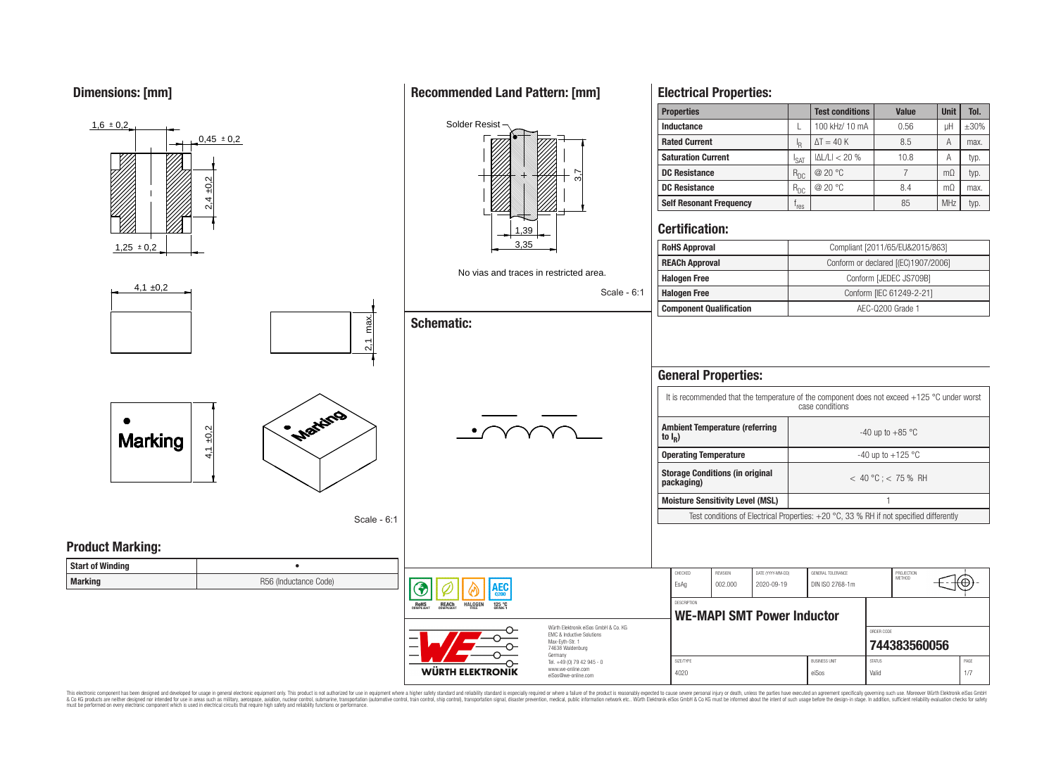**Dimensions: [mm]**



This electronic component has been designed and developed for usage in general electronic equipment only. This product is not authorized for use in equipment where a higher safety standard and reliability standard is espec & Ook product a label and the membed of the seasuch as marked and as which such a membed and the such assume that income in the seasuch and the simulation and the such assume that include to the such a membed and the such

## **Recommended Land Pattern: [mm]**

**Electrical Properties:**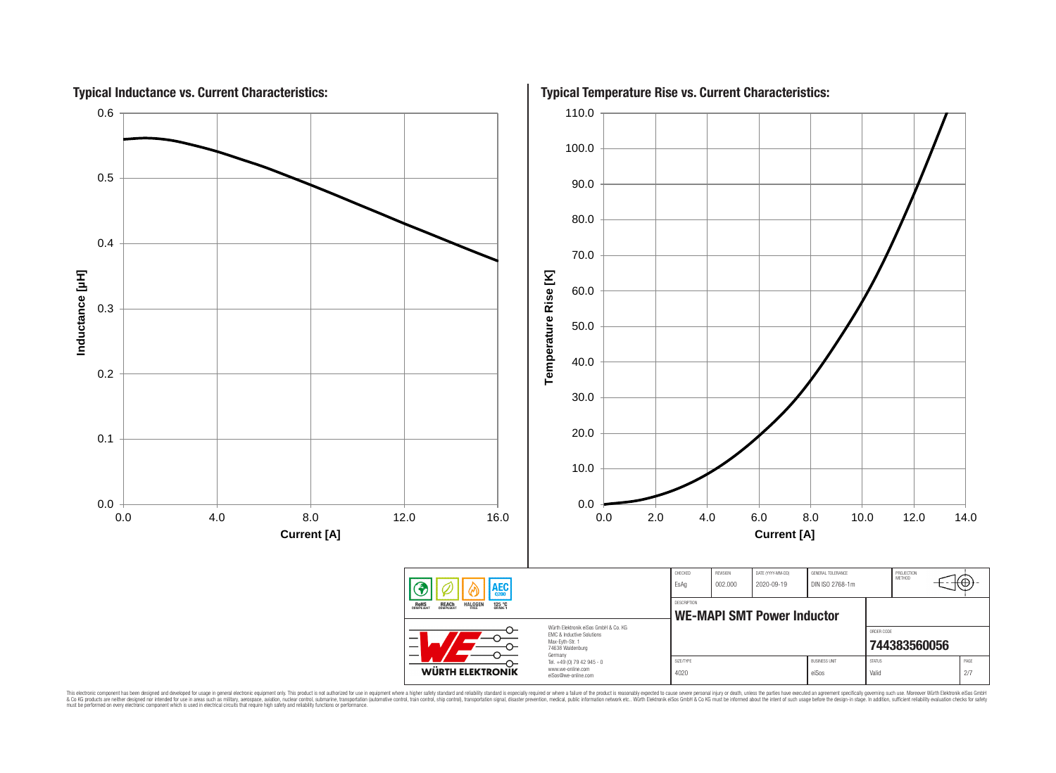

This electronic component has been designed and developed for usage in general electronic equipment only. This product is not authorized for subserved requipment where a higher selection equipment where a higher selection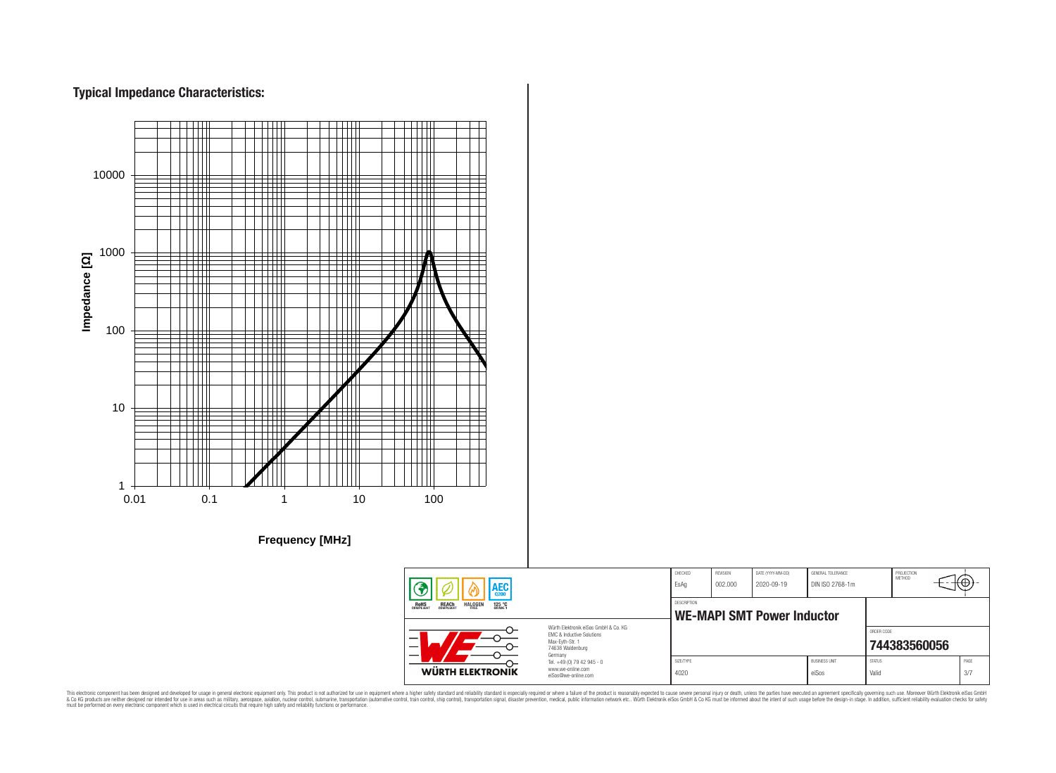# **Typical Impedance Characteristics:**



This electronic component has been designed and developed for usage in general electronic equipment only. This product is not authorized for use in equipment where a higher safely standard and reliability standard si espec & Ook product a label and the membed of the seasuch as marked and as which such a membed and the such assume that income in the seasuch and the simulation and the such assume that include to the such a membed and the such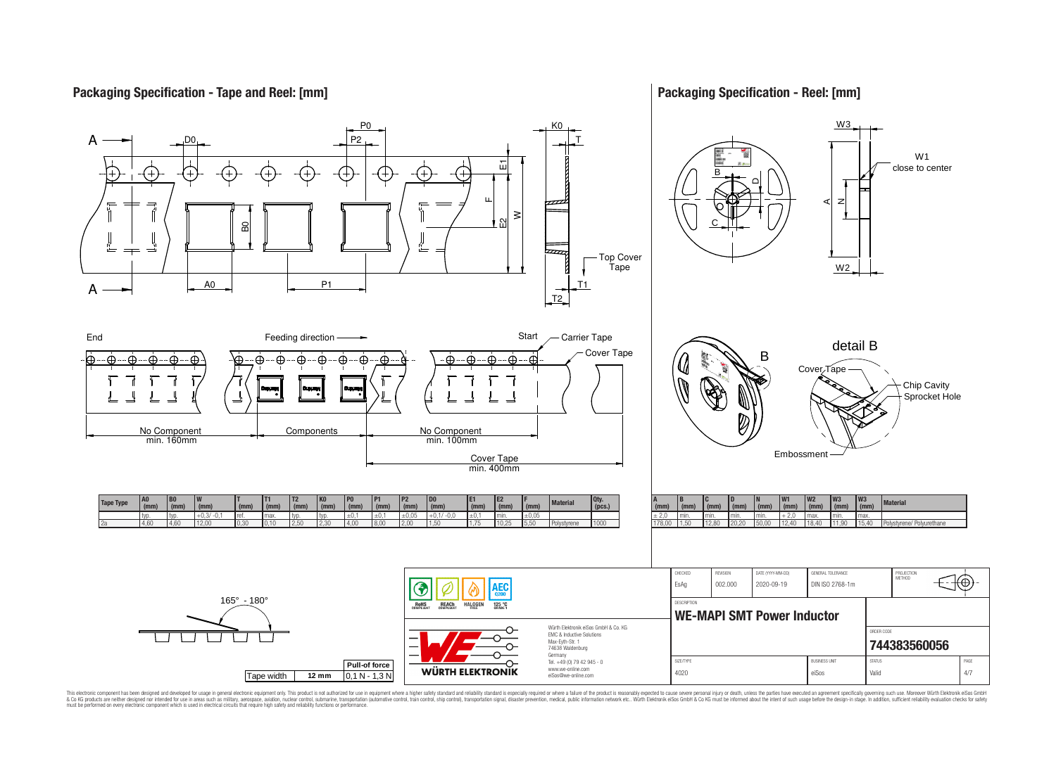## **Packaging Specification - Tape and Reel: [mm]**

## **Packaging Specification - Reel: [mm]**



This electronic component has been designed and developed for usage in general electronic equipment only. This product is not authorized for subserved requipment where a higher selection equipment where a higher selection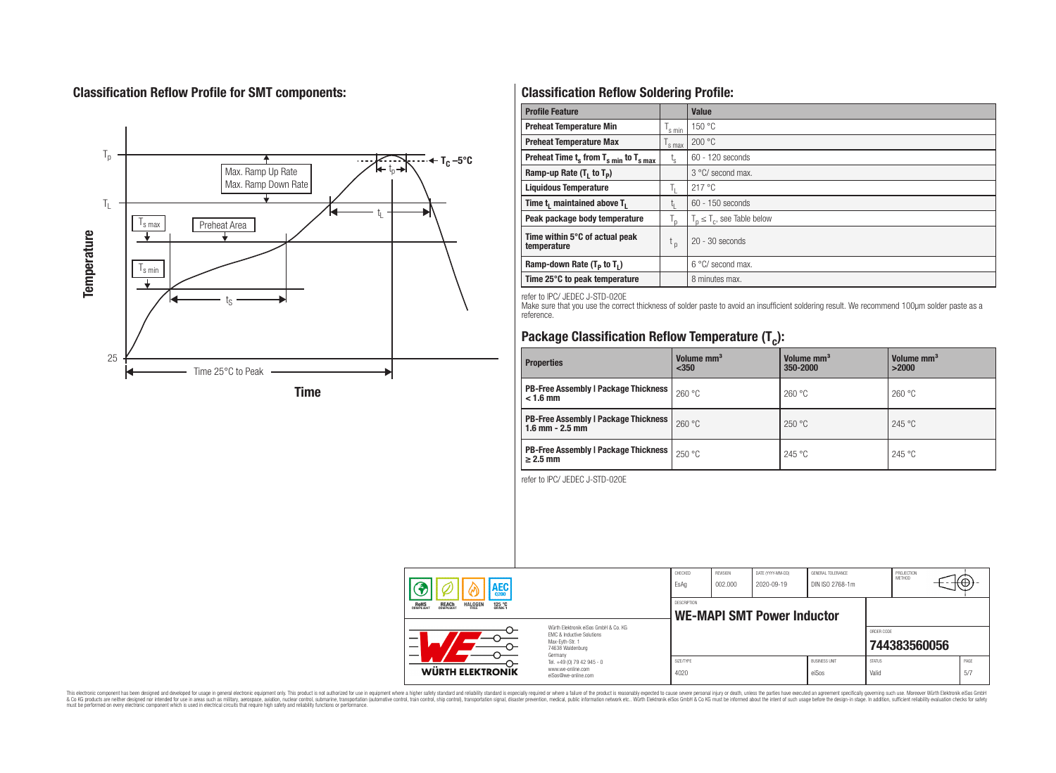# **Classification Reflow Profile for SMT components:**



# **Classification Reflow Soldering Profile:**

| <b>Profile Feature</b>                             |                    | <b>Value</b>                     |
|----------------------------------------------------|--------------------|----------------------------------|
| <b>Preheat Temperature Min</b>                     | <sup>I</sup> s min | 150 °C                           |
| <b>Preheat Temperature Max</b>                     | <sup>I</sup> s max | 200 °C                           |
| Preheat Time $t_s$ from $T_{s min}$ to $T_{s max}$ | $t_{\rm s}$        | $60 - 120$ seconds               |
| Ramp-up Rate $(T_1$ to $T_p$ )                     |                    | 3 °C/ second max.                |
| <b>Liquidous Temperature</b>                       | Ь.                 | 217 °C                           |
| Time $t_i$ maintained above $T_i$                  | կ                  | $60 - 150$ seconds               |
| Peak package body temperature                      | l n                | $T_p \leq T_c$ , see Table below |
| Time within 5°C of actual peak<br>temperature      | $t_{p}$            | $20 - 30$ seconds                |
| Ramp-down Rate $(T_p$ to $T_1$ )                   |                    | $6^{\circ}$ C/ second max.       |
| Time 25°C to peak temperature                      |                    | 8 minutes max.                   |

refer to IPC/ JEDEC J-STD-020E

Make sure that you use the correct thickness of solder paste to avoid an insufficient soldering result. We recommend 100µm solder paste as a reference.

# **Package Classification Reflow Temperature (T<sup>c</sup> ):**

| <b>Properties</b>                                                    | Volume mm <sup>3</sup><br>< 350 | Volume mm <sup>3</sup><br>350-2000 | Volume mm <sup>3</sup><br>>2000 |  |
|----------------------------------------------------------------------|---------------------------------|------------------------------------|---------------------------------|--|
| <b>PB-Free Assembly   Package Thickness  </b><br>$< 1.6$ mm          | 260 °C                          | 260 °C                             | 260 °C                          |  |
| <b>PB-Free Assembly   Package Thickness  </b><br>$1.6$ mm $- 2.5$ mm | 260 °C                          | 250 °C                             | 245 °C                          |  |
| <b>PB-Free Assembly   Package Thickness  </b><br>$\geq$ 2.5 mm       | 250 °C                          | 245 °C                             | 245 °C                          |  |

refer to IPC/ JEDEC J-STD-020E

| AEC<br><b>REACH</b><br>COMPLIANT<br><b>HALOGEN</b><br>ROHS<br>COMPLIANT<br>125 °C<br>GRADE 1 |                                                                                                                                                                                               | CHECKED<br>EsAq                                         | <b>REVISION</b><br>002.000 | DATE (YYYY-MM-DD)<br>2020-09-19 | GENERAL TOLERANCE<br>DIN ISO 2768-1m |                        | PROJECTION<br>METHOD | ᠊᠊᠊ᡈ         |
|----------------------------------------------------------------------------------------------|-----------------------------------------------------------------------------------------------------------------------------------------------------------------------------------------------|---------------------------------------------------------|----------------------------|---------------------------------|--------------------------------------|------------------------|----------------------|--------------|
|                                                                                              |                                                                                                                                                                                               | <b>DESCRIPTION</b><br><b>WE-MAPI SMT Power Inductor</b> |                            |                                 |                                      |                        |                      |              |
|                                                                                              | Würth Flektronik eiSos GmbH & Co. KG<br>EMC & Inductive Solutions<br>Max-Eyth-Str. 1<br>74638 Waldenburg<br>Germany<br>Tel. +49 (0) 79 42 945 - 0<br>www.we-online.com<br>eiSos@we-online.com |                                                         |                            |                                 |                                      | ORDER CODE             | 744383560056         |              |
| WÜRTH ELEKTRONIK                                                                             |                                                                                                                                                                                               | SIZE/TYPE<br>4020                                       |                            |                                 | <b>BLISINESS LINIT</b><br>eiSos      | <b>STATUS</b><br>Valid |                      | PAGE<br>.5/7 |

This electronic component has been designed and developed for usage in general electronic equipment only. This product is not authorized for subserved requipment where a higher selection equipment where a higher selection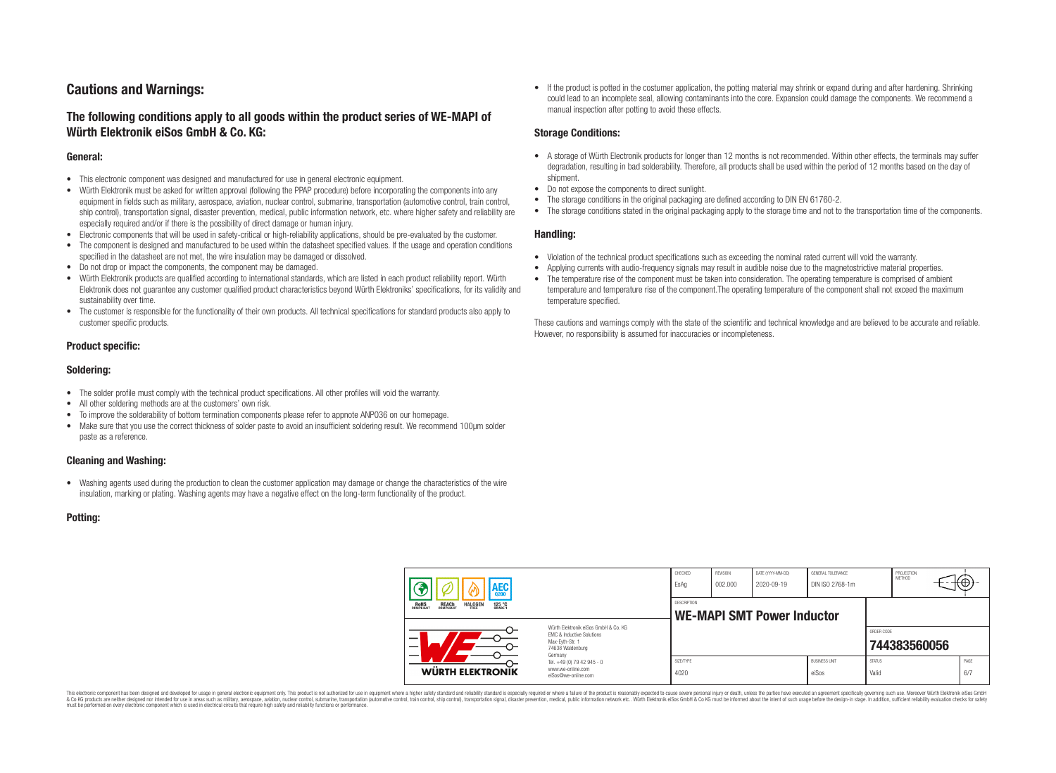# **Cautions and Warnings:**

## **The following conditions apply to all goods within the product series of WE-MAPI of Würth Elektronik eiSos GmbH & Co. KG:**

#### **General:**

- This electronic component was designed and manufactured for use in general electronic equipment.
- Würth Elektronik must be asked for written approval (following the PPAP procedure) before incorporating the components into any equipment in fields such as military, aerospace, aviation, nuclear control, submarine, transportation (automotive control, train control, ship control), transportation signal, disaster prevention, medical, public information network, etc. where higher safety and reliability are especially required and/or if there is the possibility of direct damage or human injury.
- Electronic components that will be used in safety-critical or high-reliability applications, should be pre-evaluated by the customer.
- The component is designed and manufactured to be used within the datasheet specified values. If the usage and operation conditions specified in the datasheet are not met, the wire insulation may be damaged or dissolved.
- Do not drop or impact the components, the component may be damaged.
- Würth Elektronik products are qualified according to international standards, which are listed in each product reliability report. Würth Elektronik does not guarantee any customer qualified product characteristics beyond Würth Elektroniks' specifications, for its validity and sustainability over time.
- The customer is responsible for the functionality of their own products. All technical specifications for standard products also apply to customer specific products.

## **Product specific:**

#### **Soldering:**

- The solder profile must comply with the technical product specifications. All other profiles will void the warranty.
- All other soldering methods are at the customers' own risk.
- To improve the solderability of bottom termination components please refer to appnote ANP036 on our homepage.
- Make sure that you use the correct thickness of solder paste to avoid an insufficient soldering result. We recommend 100µm solder paste as a reference.

## **Cleaning and Washing:**

• Washing agents used during the production to clean the customer application may damage or change the characteristics of the wire insulation, marking or plating. Washing agents may have a negative effect on the long-term functionality of the product.

#### **Potting:**

• If the product is potted in the costumer application, the potting material may shrink or expand during and after hardening. Shrinking could lead to an incomplete seal, allowing contaminants into the core. Expansion could damage the components. We recommend a manual inspection after potting to avoid these effects.

#### **Storage Conditions:**

- A storage of Würth Electronik products for longer than 12 months is not recommended. Within other effects, the terminals may suffer degradation, resulting in bad solderability. Therefore, all products shall be used within the period of 12 months based on the day of shipment.
- Do not expose the components to direct sunlight.
- The storage conditions in the original packaging are defined according to DIN EN 61760-2.
- The storage conditions stated in the original packaging apply to the storage time and not to the transportation time of the components.

#### **Handling:**

- Violation of the technical product specifications such as exceeding the nominal rated current will void the warranty.
- Applying currents with audio-frequency signals may result in audible noise due to the magnetostrictive material properties.
- The temperature rise of the component must be taken into consideration. The operating temperature is comprised of ambient temperature and temperature rise of the component.The operating temperature of the component shall not exceed the maximum temperature specified.

These cautions and warnings comply with the state of the scientific and technical knowledge and are believed to be accurate and reliable. However, no responsibility is assumed for inaccuracies or incompleteness.

| $A_{\alpha 200}^{E C}$                                                                       |                                                                                                                                                                                                          | CHECKED<br>EsAq                                         | <b>REVISION</b><br>002.000 | DATE (YYYY-MM-DD)<br>2020-09-19 | GENERAL TOLERANCE<br>DIN ISO 2768-1m |                        | PROJECTION<br>METHOD |  | ₩           |
|----------------------------------------------------------------------------------------------|----------------------------------------------------------------------------------------------------------------------------------------------------------------------------------------------------------|---------------------------------------------------------|----------------------------|---------------------------------|--------------------------------------|------------------------|----------------------|--|-------------|
| 125 °C<br>GRADE 1<br><b>ROHS</b><br>COMPLIANT<br><b>REACH</b><br>COMPLIANT<br><b>HALOGEN</b> |                                                                                                                                                                                                          | <b>DESCRIPTION</b><br><b>WE-MAPI SMT Power Inductor</b> |                            |                                 |                                      |                        |                      |  |             |
| $\overline{\phantom{0}}$                                                                     | Würth Elektronik eiSos GmbH & Co. KG<br><b>EMC &amp; Inductive Solutions</b><br>Max-Eyth-Str. 1<br>74638 Waldenburg<br>Germany<br>Tel. +49 (0) 79 42 945 - 0<br>www.we-online.com<br>eiSos@we-online.com |                                                         |                            |                                 |                                      | ORDER CODE             | 744383560056         |  |             |
| WÜRTH ELEKTRONIK                                                                             |                                                                                                                                                                                                          | SIZE/TYPE<br>4020                                       |                            |                                 | <b>BUSINESS UNIT</b><br>eiSos        | <b>STATUS</b><br>Valid |                      |  | PAGE<br>6/7 |

This electronic component has been designed and developed for usage in general electronic equipment only. This product is not authorized for use in equipment where a higher safety standard and reliability standard si espec & Ook product a label and the membed of the seasuch as marked and as which such a membed and the such assume that income in the seasuch and the simulation and the such assume that include to the such a membed and the such